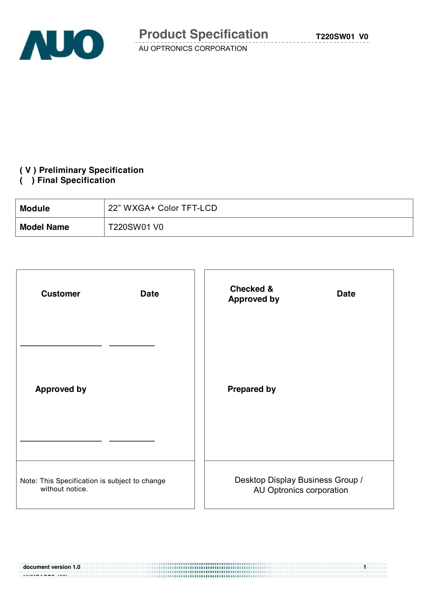

#### **( V ) Preliminary Specification**

#### **( ) Final Specification**

**NUMPAGES |29}**

| <b>Module</b>     | 22" WXGA+ Color TFT-LCD |
|-------------------|-------------------------|
| <b>Model Name</b> | T220SW01 V0             |

| <b>Customer</b><br><b>Date</b>                                   | <b>Checked &amp;</b><br><b>Date</b><br><b>Approved by</b>    |
|------------------------------------------------------------------|--------------------------------------------------------------|
|                                                                  |                                                              |
| <b>Approved by</b>                                               | <b>Prepared by</b>                                           |
|                                                                  |                                                              |
| Note: This Specification is subject to change<br>without notice. | Desktop Display Business Group /<br>AU Optronics corporation |

**document version 1.0** 1 **1**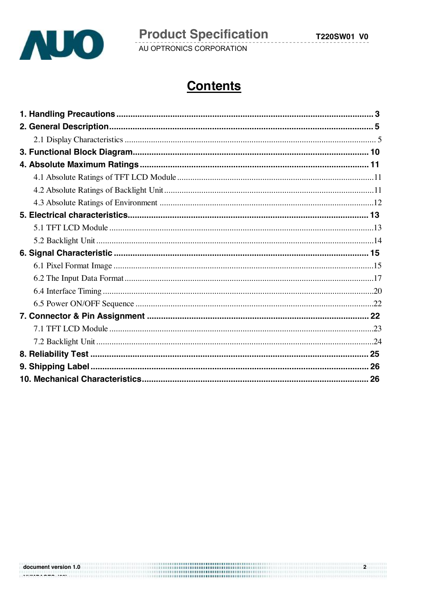

T220SW01 V0

# **Contents**

| 26 |
|----|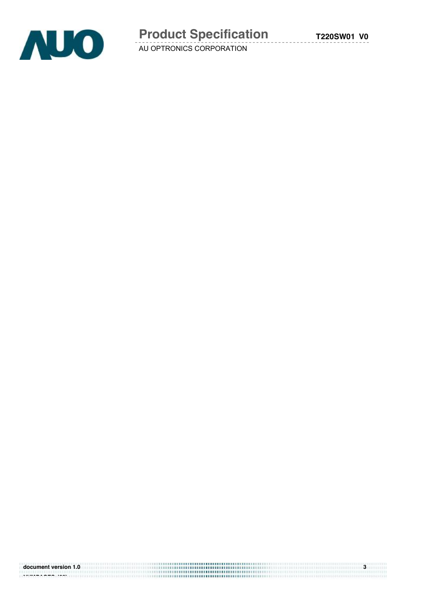

document version 1.0 additional additional contract construction in the theorem and the theorem and the theorem and the theorem **3** 

**NUMPAGES |29}**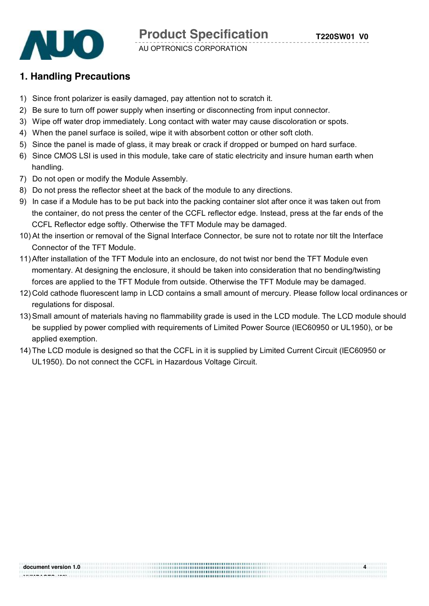

#### **1. Handling Precautions**

- 1) Since front polarizer is easily damaged, pay attention not to scratch it.
- 2) Be sure to turn off power supply when inserting or disconnecting from input connector.
- 3) Wipe off water drop immediately. Long contact with water may cause discoloration or spots.
- 4) When the panel surface is soiled, wipe it with absorbent cotton or other soft cloth.
- 5) Since the panel is made of glass, it may break or crack if dropped or bumped on hard surface.
- 6) Since CMOS LSI is used in this module, take care of static electricity and insure human earth when handling.
- 7) Do not open or modify the Module Assembly.
- 8) Do not press the reflector sheet at the back of the module to any directions.
- 9) In case if a Module has to be put back into the packing container slot after once it was taken out from the container, do not press the center of the CCFL reflector edge. Instead, press at the far ends of the CCFL Reflector edge softly. Otherwise the TFT Module may be damaged.
- 10) At the insertion or removal of the Signal Interface Connector, be sure not to rotate nor tilt the Interface Connector of the TFT Module.
- 11)After installation of the TFT Module into an enclosure, do not twist nor bend the TFT Module even momentary. At designing the enclosure, it should be taken into consideration that no bending/twisting forces are applied to the TFT Module from outside. Otherwise the TFT Module may be damaged.
- 12) Cold cathode fluorescent lamp in LCD contains a small amount of mercury. Please follow local ordinances or regulations for disposal.
- 13) Small amount of materials having no flammability grade is used in the LCD module. The LCD module should be supplied by power complied with requirements of Limited Power Source (IEC60950 or UL1950), or be applied exemption.
- 14) The LCD module is designed so that the CCFL in it is supplied by Limited Current Circuit (IEC60950 or UL1950). Do not connect the CCFL in Hazardous Voltage Circuit.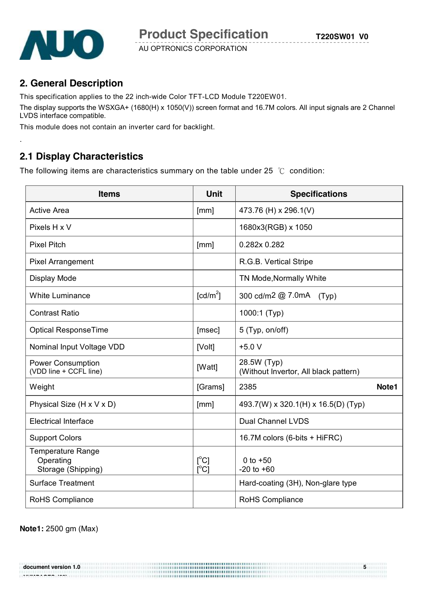

.

### **2. General Description**

This specification applies to the 22 inch-wide Color TFT-LCD Module T220EW01.

The display supports the WSXGA+ (1680(H) x 1050(V)) screen format and 16.7M colors. All input signals are 2 Channel LVDS interface compatible.

This module does not contain an inverter card for backlight.

### **2.1 Display Characteristics**

The following items are characteristics summary on the table under 25 ℃ condition:

| <b>Items</b>                                                | <b>Unit</b>                                | <b>Specifications</b>                                |       |
|-------------------------------------------------------------|--------------------------------------------|------------------------------------------------------|-------|
| <b>Active Area</b>                                          | [mm]                                       | 473.76 (H) x 296.1(V)                                |       |
| Pixels H x V                                                |                                            | 1680x3(RGB) x 1050                                   |       |
| <b>Pixel Pitch</b>                                          | [mm]                                       | 0.282x 0.282                                         |       |
| <b>Pixel Arrangement</b>                                    |                                            | R.G.B. Vertical Stripe                               |       |
| Display Mode                                                |                                            | TN Mode, Normally White                              |       |
| <b>White Luminance</b>                                      | $\lceil cd/m^2 \rceil$                     | 300 cd/m2 @ 7.0mA (Typ)                              |       |
| <b>Contrast Ratio</b>                                       |                                            | 1000:1 (Typ)                                         |       |
| <b>Optical ResponseTime</b>                                 | [msec]                                     | 5 (Typ, on/off)                                      |       |
| Nominal Input Voltage VDD                                   | [Volt]                                     | $+5.0V$                                              |       |
| <b>Power Consumption</b><br>(VDD line + CCFL line)          | [Watt]                                     | 28.5W (Typ)<br>(Without Invertor, All black pattern) |       |
| Weight                                                      | [Grams]                                    | 2385                                                 | Note1 |
| Physical Size (H x V x D)                                   | [mm]                                       | 493.7(W) x 320.1(H) x 16.5(D) (Typ)                  |       |
| <b>Electrical Interface</b>                                 |                                            | <b>Dual Channel LVDS</b>                             |       |
| <b>Support Colors</b>                                       |                                            | 16.7M colors (6-bits + HiFRC)                        |       |
| <b>Temperature Range</b><br>Operating<br>Storage (Shipping) | $\lceil{^{\circ}C}\rceil$<br>$[^{\circ}C]$ | 0 to $+50$<br>$-20$ to $+60$                         |       |
| <b>Surface Treatment</b>                                    |                                            | Hard-coating (3H), Non-glare type                    |       |
| RoHS Compliance                                             |                                            | RoHS Compliance                                      |       |

**Note1:** 2500 gm (Max)

**document version 1.0** 5 **5**<br> **EXECUTE:**  $\frac{5}{2}$ **NUMPAGES |29}**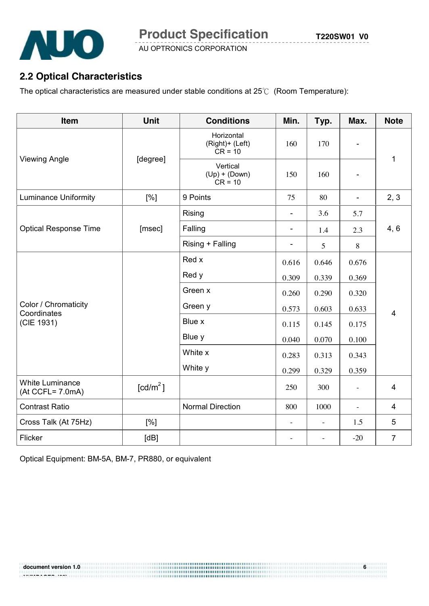

### **2.2 Optical Characteristics**

The optical characteristics are measured under stable conditions at 25℃ (Room Temperature):

| Item                                          | Unit                 | <b>Conditions</b>                          | Min.                         | Typ.                     | Max.                     | <b>Note</b>    |
|-----------------------------------------------|----------------------|--------------------------------------------|------------------------------|--------------------------|--------------------------|----------------|
|                                               |                      | Horizontal<br>(Right)+ (Left)<br>$CR = 10$ | 160                          | 170                      | $\overline{\phantom{a}}$ |                |
| <b>Viewing Angle</b>                          | [degree]             | Vertical<br>$(Up) + (Down)$<br>$CR = 10$   | 150                          | 160                      |                          | 1              |
| <b>Luminance Uniformity</b>                   | [%]                  | 9 Points                                   | 75                           | 80                       | $\overline{\phantom{a}}$ | 2, 3           |
|                                               |                      | Rising                                     | $\overline{\phantom{a}}$     | 3.6                      | 5.7                      |                |
| <b>Optical Response Time</b>                  | [msec]               | Falling                                    | $\qquad \qquad \blacksquare$ | 1.4                      | 2.3                      | 4, 6           |
|                                               |                      | Rising + Falling                           | $\qquad \qquad \blacksquare$ | 5                        | 8                        |                |
|                                               |                      | Red x                                      | 0.616                        | 0.646                    | 0.676                    |                |
|                                               |                      | Red y                                      | 0.309                        | 0.339                    | 0.369                    |                |
|                                               |                      | Green x                                    | 0.260                        | 0.290                    | 0.320                    |                |
| Color / Chromaticity<br>Coordinates           |                      | Green y                                    | 0.573                        | 0.603                    | 0.633                    | $\overline{4}$ |
| (CIE 1931)                                    |                      | Blue x                                     | 0.115                        | 0.145                    | 0.175                    |                |
|                                               |                      | Blue y                                     | 0.040                        | 0.070                    | 0.100                    |                |
|                                               |                      | White x                                    | 0.283                        | 0.313                    | 0.343                    |                |
|                                               |                      | White y                                    | 0.299                        | 0.329                    | 0.359                    |                |
| <b>White Luminance</b><br>$(At CCFL = 7.0mA)$ | [cd/m <sup>2</sup> ] |                                            | 250                          | 300                      | $\equiv$                 | $\overline{4}$ |
| <b>Contrast Ratio</b>                         |                      | <b>Normal Direction</b>                    | 800                          | 1000                     | $\overline{\phantom{a}}$ | $\overline{4}$ |
| Cross Talk (At 75Hz)                          | [%]                  |                                            |                              | $\overline{\phantom{a}}$ | 1.5                      | 5              |
| Flicker                                       | [dB]                 |                                            |                              |                          | $-20$                    | $\overline{7}$ |

Optical Equipment: BM-5A, BM-7, PR880, or equivalent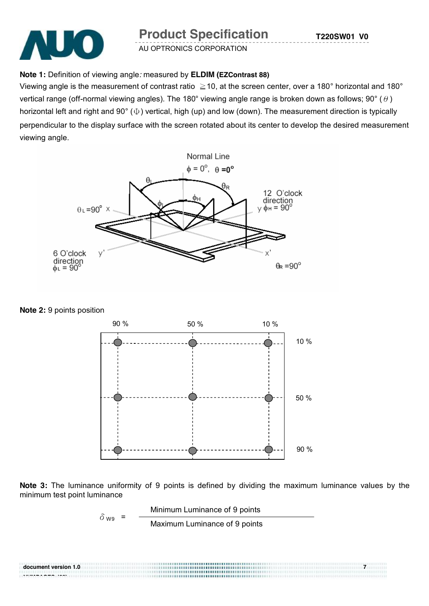

# **Product Specification**

AU OPTRONICS CORPORATION

**Note 1:** Definition of viewing angle*:* measured by **ELDIM (EZContrast 88)**

Viewing angle is the measurement of contrast ratio  $\geq$  10, at the screen center, over a 180° horizontal and 180° vertical range (off-normal viewing angles). The 180° viewing angle range is broken down as follows; 90° ( $\theta$ ) horizontal left and right and 90° (Φ) vertical, high (up) and low (down). The measurement direction is typically perpendicular to the display surface with the screen rotated about its center to develop the desired measurement viewing angle.



#### **Note 2:** 9 points position



**Note 3:** The luminance uniformity of 9 points is defined by dividing the maximum luminance values by the minimum test point luminance



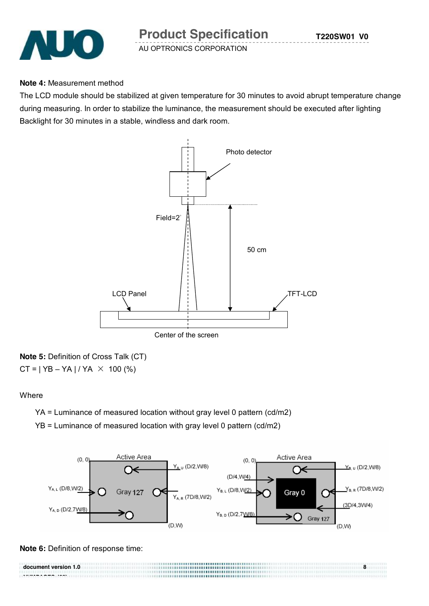

#### **Note 4:** Measurement method

The LCD module should be stabilized at given temperature for 30 minutes to avoid abrupt temperature change during measuring. In order to stabilize the luminance, the measurement should be executed after lighting Backlight for 30 minutes in a stable, windless and dark room.



Center of the screen

**Note 5:** Definition of Cross Talk (CT)  $CT = | YB - YA | / YA \times 100 \, (%)$ 

#### Where

- YA = Luminance of measured location without gray level 0 pattern (cd/m2)
- YB = Luminance of measured location with gray level 0 pattern (cd/m2)



#### **Note 6:** Definition of response time:

**document version 1.0**  $\frac{1}{2}$  **8** .......................... **NUMPAGES |29}**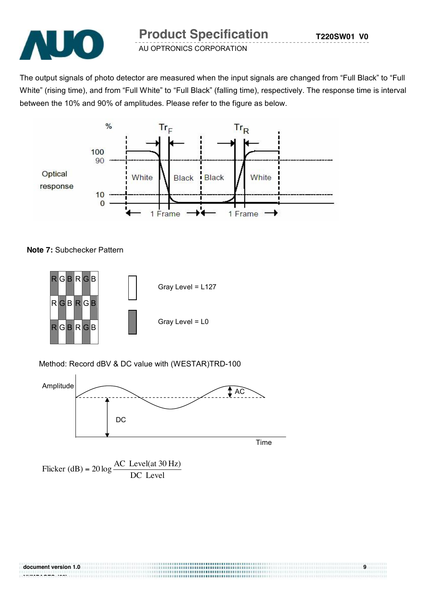

The output signals of photo detector are measured when the input signals are changed from "Full Black" to "Full White" (rising time), and from "Full White" to "Full Black" (falling time), respectively. The response time is interval between the 10% and 90% of amplitudes. Please refer to the figure as below.



**Note 7:** Subchecker Pattern

**NUMPAGES |29}**



Method: Record dBV & DC value with (WESTAR)TRD-100



**document version 1.0 9** 

.......**................**.....

DC Level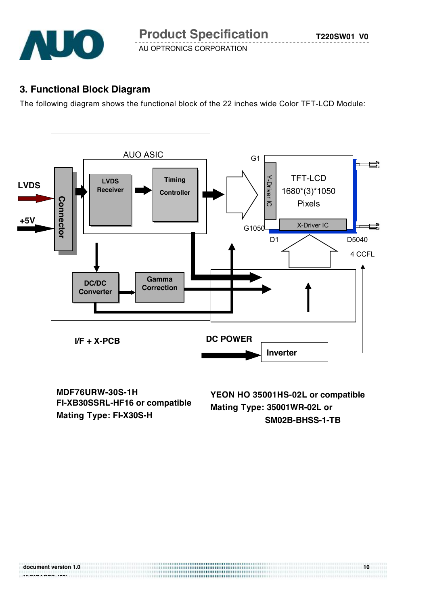



## **3. Functional Block Diagram**

The following diagram shows the functional block of the 22 inches wide Color TFT-LCD Module:



**MDF76URW-30S-1H FI-XB30SSRL-HF16 or compatible Mating Type: FI-X30S-H** 

**YEON HO 35001HS-02L or compatible Mating Type: 35001WR-02L or SM02B-BHSS-1-TB**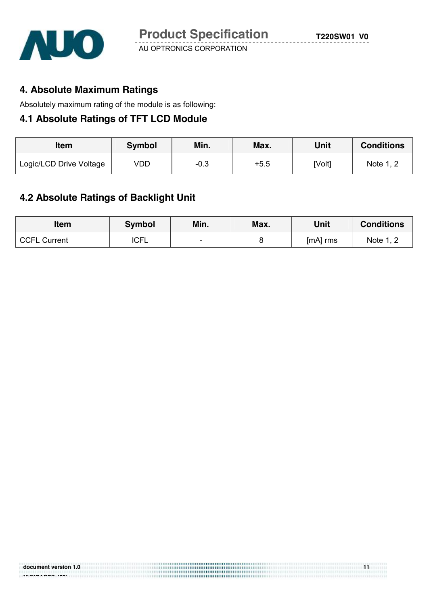

### **4. Absolute Maximum Ratings**

Absolutely maximum rating of the module is as following:

# **4.1 Absolute Ratings of TFT LCD Module**

| <b>Item</b>             | <b>Symbol</b> | Min. | Max.   | Unit   | <b>Conditions</b> |
|-------------------------|---------------|------|--------|--------|-------------------|
| Logic/LCD Drive Voltage | VDD           | -0.3 | $+5.5$ | [Volt] | Note 1, 2         |

## **4.2 Absolute Ratings of Backlight Unit**

| <b>Item</b>         | Symbol      | Min. | Max. | Unit     | <b>Conditions</b> |
|---------------------|-------------|------|------|----------|-------------------|
| <b>CCFL Current</b> | <b>ICFL</b> | -    |      | [mA] rms | Note $1, 2$       |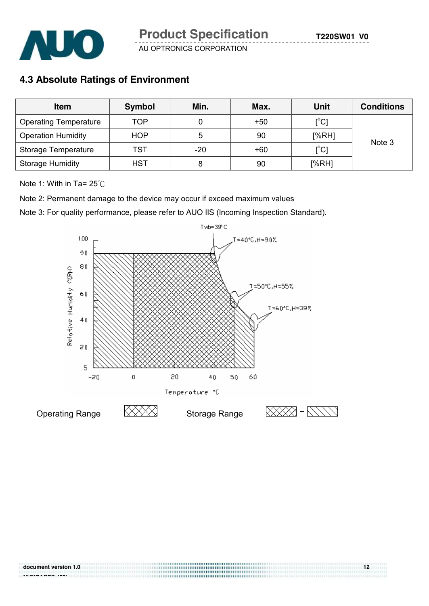

## **4.3 Absolute Ratings of Environment**

| <b>Item</b>                  | <b>Symbol</b> | Min.  | Max.  | Unit                                    | <b>Conditions</b> |
|------------------------------|---------------|-------|-------|-----------------------------------------|-------------------|
| <b>Operating Temperature</b> | TOP           |       | $+50$ | $[^{\circ}C]$                           |                   |
| <b>Operation Humidity</b>    | <b>HOP</b>    | 5     | 90    | [%RH]                                   | Note 3            |
| Storage Temperature          | TST           | $-20$ | $+60$ | $\mathsf{I}^\circ\mathsf{C} \mathsf{I}$ |                   |
| <b>Storage Humidity</b>      | <b>HST</b>    |       | 90    | [%RH]                                   |                   |

Note 1: With in Ta= 25℃

Note 2: Permanent damage to the device may occur if exceed maximum values

Note 3: For quality performance, please refer to AUO IIS (Incoming Inspection Standard).

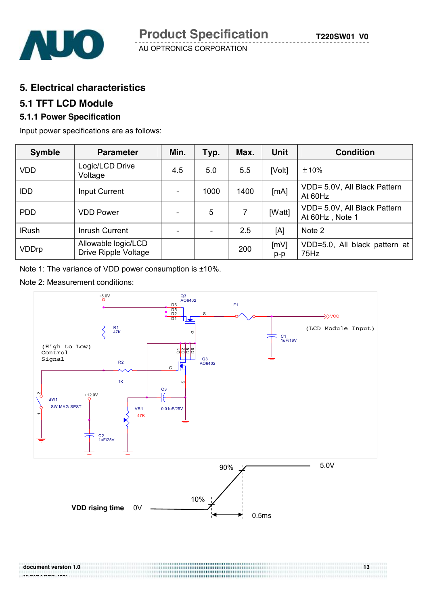

### **5. Electrical characteristics**

### **5.1 TFT LCD Module**

#### **5.1.1 Power Specification**

Input power specifications are as follows:

| <b>Symble</b> | <b>Parameter</b>                            | Min.                     | Typ. | Max. | <b>Unit</b>   | <b>Condition</b>                                |
|---------------|---------------------------------------------|--------------------------|------|------|---------------|-------------------------------------------------|
| <b>VDD</b>    | Logic/LCD Drive<br>Voltage                  | 4.5                      | 5.0  | 5.5  | [Volt]        | ±10%                                            |
| <b>IDD</b>    | Input Current                               | $\overline{\phantom{a}}$ | 1000 | 1400 | [mA]          | VDD= 5.0V, All Black Pattern<br>At 60Hz         |
| <b>PDD</b>    | <b>VDD Power</b>                            | $\overline{\phantom{a}}$ | 5    |      | [Watt]        | VDD= 5.0V, All Black Pattern<br>At 60Hz, Note 1 |
| <b>IRush</b>  | Inrush Current                              | $\overline{\phantom{0}}$ |      | 2.5  | [A]           | Note 2                                          |
| <b>VDDrp</b>  | Allowable logic/LCD<br>Drive Ripple Voltage |                          |      | 200  | [mV]<br>$p-p$ | VDD=5.0, All black pattern at<br>75Hz           |

Note 1: The variance of VDD power consumption is ±10%.

#### Note 2: Measurement conditions:

**NUMPAGES |29}**



**document version 1.0 13**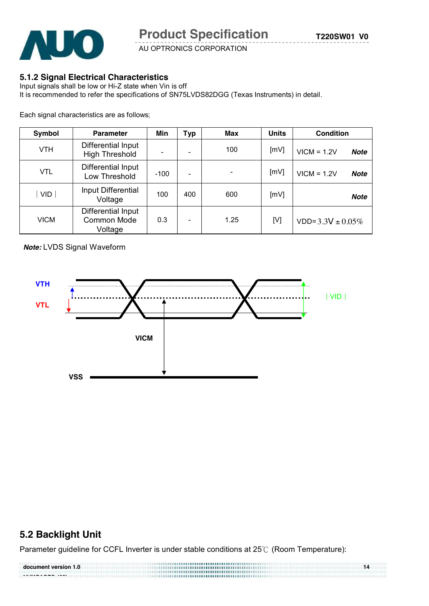

#### **5.1.2 Signal Electrical Characteristics**

Input signals shall be low or Hi-Z state when Vin is off It is recommended to refer the specifications of SN75LVDS82DGG (Texas Instruments) in detail.

Each signal characteristics are as follows;

| Symbol      | <b>Parameter</b>                                    | Min    | <b>Typ</b> | Max  | <b>Units</b> | <b>Condition</b>             |
|-------------|-----------------------------------------------------|--------|------------|------|--------------|------------------------------|
| <b>VTH</b>  | Differential Input<br><b>High Threshold</b>         |        |            | 100  | [mV]         | $VICM = 1.2V$<br><b>Note</b> |
| <b>VTL</b>  | Differential Input<br>Low Threshold                 | $-100$ |            |      | [mV]         | $VICM = 1.2V$<br><b>Note</b> |
| <b>VID</b>  | Input Differential<br>Voltage                       | 100    | 400        | 600  | [mV]         | <b>Note</b>                  |
| <b>VICM</b> | Differential Input<br><b>Common Mode</b><br>Voltage | 0.3    |            | 1.25 | [V]          | $VDD = 3.3V \pm 0.05\%$      |

#### *Note:* LVDS Signal Waveform



### **5.2 Backlight Unit**

Parameter guideline for CCFL Inverter is under stable conditions at 25℃ (Room Temperature):

| document version 1.0 | ,,,,,,,,,,,,,,,,,,,,,,,,,,,,,,,,,,,, | 14 |
|----------------------|--------------------------------------|----|
| --------------       |                                      |    |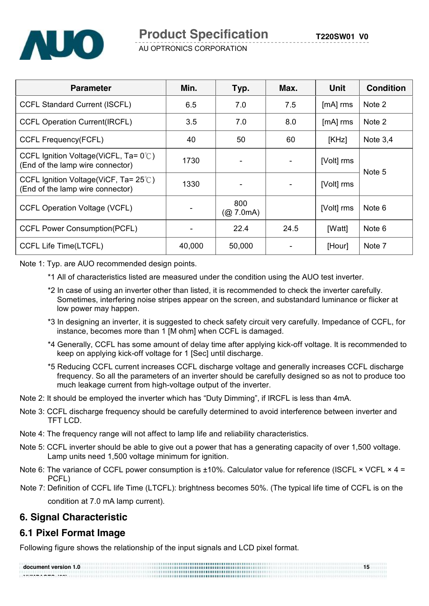

| <b>Parameter</b>                                                                    | Min.   | Typ.              | Max. | <b>Unit</b> | <b>Condition</b> |
|-------------------------------------------------------------------------------------|--------|-------------------|------|-------------|------------------|
| <b>CCFL Standard Current (ISCFL)</b>                                                | 6.5    | 7.0               | 7.5  | $[mA]$ rms  | Note 2           |
| <b>CCFL Operation Current(IRCFL)</b>                                                | 3.5    | 7.0               | 8.0  | $[mA]$ rms  | Note 2           |
| <b>CCFL Frequency(FCFL)</b>                                                         | 40     | 50                | 60   | [KHz]       | Note $3,4$       |
| CCFL Ignition Voltage(ViCFL, Ta= $0^{\circ}$ C)<br>(End of the lamp wire connector) | 1730   |                   |      | [Volt] rms  | Note 5           |
| CCFL Ignition Voltage(ViCF, Ta= $25^{\circ}$ C)<br>(End of the lamp wire connector) | 1330   |                   |      | [Volt] rms  |                  |
| <b>CCFL Operation Voltage (VCFL)</b>                                                |        | 800<br>(Q, 7.0mA) |      | [Volt] rms  | Note 6           |
| <b>CCFL Power Consumption(PCFL)</b>                                                 |        | 22.4              | 24.5 | [Watt]      | Note 6           |
| CCFL Life Time(LTCFL)                                                               | 40,000 | 50,000            |      | [Hour]      | Note 7           |

Note 1: Typ. are AUO recommended design points.

- \*1 All of characteristics listed are measured under the condition using the AUO test inverter.
- \*2 In case of using an inverter other than listed, it is recommended to check the inverter carefully. Sometimes, interfering noise stripes appear on the screen, and substandard luminance or flicker at low power may happen.
- \*3 In designing an inverter, it is suggested to check safety circuit very carefully. Impedance of CCFL, for instance, becomes more than 1 [M ohm] when CCFL is damaged.
- \*4 Generally, CCFL has some amount of delay time after applying kick-off voltage. It is recommended to keep on applying kick-off voltage for 1 [Sec] until discharge.
- \*5 Reducing CCFL current increases CCFL discharge voltage and generally increases CCFL discharge frequency. So all the parameters of an inverter should be carefully designed so as not to produce too much leakage current from high-voltage output of the inverter.
- Note 2: It should be employed the inverter which has "Duty Dimming", if IRCFL is less than 4mA.
- Note 3: CCFL discharge frequency should be carefully determined to avoid interference between inverter and TFT LCD.
- Note 4: The frequency range will not affect to lamp life and reliability characteristics.
- Note 5: CCFL inverter should be able to give out a power that has a generating capacity of over 1,500 voltage. Lamp units need 1,500 voltage minimum for ignition.
- Note 6: The variance of CCFL power consumption is  $\pm 10\%$ . Calculator value for reference (ISCFL  $\times$  VCFL  $\times$  4 = PCFL)
- Note 7: Definition of CCFL life Time (LTCFL): brightness becomes 50%. (The typical life time of CCFL is on the condition at 7.0 mA lamp current).

### **6. Signal Characteristic**

### **6.1 Pixel Format Image**

Following figure shows the relationship of the input signals and LCD pixel format.

**document version 1.0** 15 **NUMPAGES |29}**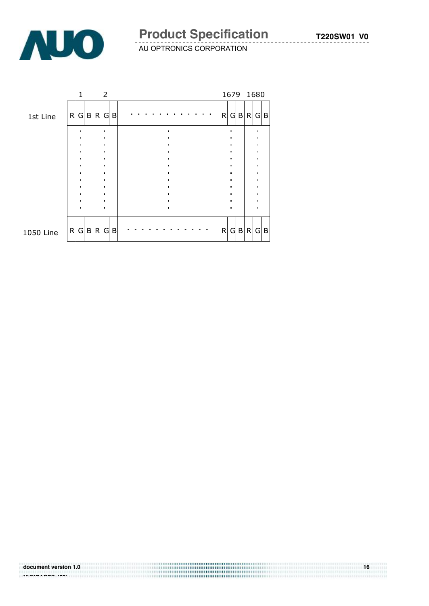

|           |   |     |   | $\overline{2}$ |            |  |  |  |  |  |   |  |       | 1679 1680  |  |
|-----------|---|-----|---|----------------|------------|--|--|--|--|--|---|--|-------|------------|--|
| 1st Line  | R | G B | R | $G \vert B$    |            |  |  |  |  |  | R |  |       | G B R G B  |  |
|           |   |     |   |                |            |  |  |  |  |  |   |  |       |            |  |
|           |   |     |   |                |            |  |  |  |  |  |   |  |       |            |  |
|           |   |     |   |                |            |  |  |  |  |  |   |  |       |            |  |
|           |   |     |   |                |            |  |  |  |  |  |   |  |       |            |  |
|           |   |     |   |                |            |  |  |  |  |  |   |  |       |            |  |
|           |   |     |   |                |            |  |  |  |  |  |   |  |       |            |  |
| 1050 Line | R | G B | R |                | $G \mid B$ |  |  |  |  |  | R |  | G B R | $G \mid B$ |  |

**NUMPAGES |29}**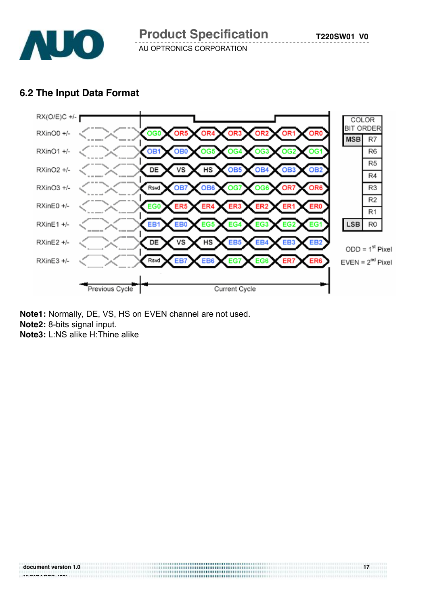

### **6.2 The Input Data Format**



**Note1:** Normally, DE, VS, HS on EVEN channel are not used. **Note2:** 8-bits signal input. **Note3:** L:NS alike H:Thine alike

**document version 1.0 17 NUMPAGES |29}**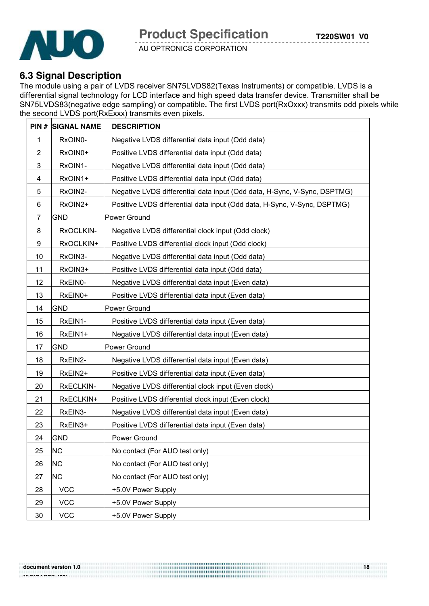

### **6.3 Signal Description**

The module using a pair of LVDS receiver SN75LVDS82(Texas Instruments) or compatible. LVDS is a differential signal technology for LCD interface and high speed data transfer device. Transmitter shall be SN75LVDS83(negative edge sampling) or compatible**.** The first LVDS port(RxOxxx) transmits odd pixels while the second LVDS port(RxExxx) transmits even pixels.

|                | <b>PIN # SIGNAL NAME</b> | <b>DESCRIPTION</b>                                                       |
|----------------|--------------------------|--------------------------------------------------------------------------|
| 1              | RxOIN0-                  | Negative LVDS differential data input (Odd data)                         |
| $\overline{2}$ | RxOIN0+                  | Positive LVDS differential data input (Odd data)                         |
| 3              | RxOIN1-                  | Negative LVDS differential data input (Odd data)                         |
| 4              | RxOIN1+                  | Positive LVDS differential data input (Odd data)                         |
| 5              | RxOIN2-                  | Negative LVDS differential data input (Odd data, H-Sync, V-Sync, DSPTMG) |
| 6              | RxOIN2+                  | Positive LVDS differential data input (Odd data, H-Sync, V-Sync, DSPTMG) |
| 7              | <b>GND</b>               | Power Ground                                                             |
| 8              | RxOCLKIN-                | Negative LVDS differential clock input (Odd clock)                       |
| 9              | RxOCLKIN+                | Positive LVDS differential clock input (Odd clock)                       |
| 10             | RxOIN3-                  | Negative LVDS differential data input (Odd data)                         |
| 11             | RxOIN3+                  | Positive LVDS differential data input (Odd data)                         |
| 12             | RxEIN0-                  | Negative LVDS differential data input (Even data)                        |
| 13             | RxEIN0+                  | Positive LVDS differential data input (Even data)                        |
| 14             | <b>GND</b>               | Power Ground                                                             |
| 15             | RxEIN1-                  | Positive LVDS differential data input (Even data)                        |
| 16             | RxEIN1+                  | Negative LVDS differential data input (Even data)                        |
| 17             | <b>GND</b>               | Power Ground                                                             |
| 18             | RxEIN2-                  | Negative LVDS differential data input (Even data)                        |
| 19             | RxEIN2+                  | Positive LVDS differential data input (Even data)                        |
| 20             | RxECLKIN-                | Negative LVDS differential clock input (Even clock)                      |
| 21             | RxECLKIN+                | Positive LVDS differential clock input (Even clock)                      |
| 22             | RxEIN3-                  | Negative LVDS differential data input (Even data)                        |
| 23             | RxEIN3+                  | Positive LVDS differential data input (Even data)                        |
| 24             | <b>GND</b>               | Power Ground                                                             |
| 25             | <b>NC</b>                | No contact (For AUO test only)                                           |
| 26             | <b>NC</b>                | No contact (For AUO test only)                                           |
| 27             | <b>NC</b>                | No contact (For AUO test only)                                           |
| 28             | <b>VCC</b>               | +5.0V Power Supply                                                       |
| 29             | <b>VCC</b>               | +5.0V Power Supply                                                       |
| 30             | <b>VCC</b>               | +5.0V Power Supply                                                       |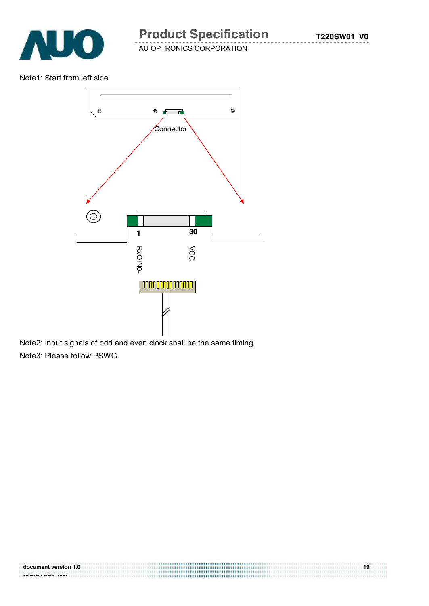

#### Note1: Start from left side



Note2: Input signals of odd and even clock shall be the same timing. Note3: Please follow PSWG.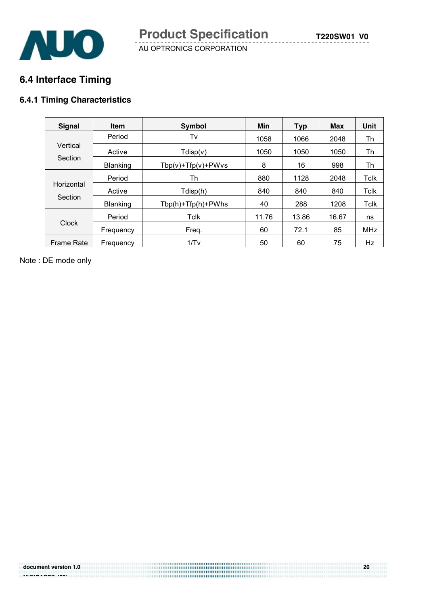

### **6.4 Interface Timing**

#### **6.4.1 Timing Characteristics**

| <b>Signal</b>         | <b>Item</b>     | Symbol                   | Min   | <b>Typ</b> | Max   | Unit        |
|-----------------------|-----------------|--------------------------|-------|------------|-------|-------------|
|                       | Period          | Tv                       | 1058  | 1066       | 2048  | Th          |
| Vertical              | Active          | Tdisp(v)                 | 1050  | 1050       | 1050  | Th          |
| Section               | <b>Blanking</b> | $Tbp(v) + Tfp(v) + PWvs$ | 8     | 16         | 998   | Th          |
| Horizontal<br>Section | Period          | Th                       | 880   | 1128       | 2048  | Tclk        |
|                       | Active          | Tdisp(h)                 | 840   | 840        | 840   | Tclk        |
|                       | <b>Blanking</b> | $Tbp(h)+Tfp(h)+PWhs$     | 40    | 288        | 1208  | <b>Tclk</b> |
| Clock                 | Period          | Tclk                     | 11.76 | 13.86      | 16.67 | ns          |
|                       | Frequency       | Freq.                    | 60    | 72.1       | 85    | <b>MHz</b>  |
| <b>Frame Rate</b>     | Frequency       | 1/Tv                     | 50    | 60         | 75    | Hz          |

Note : DE mode only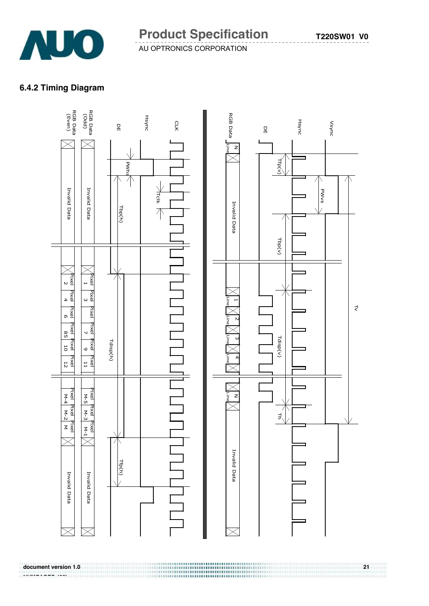

#### **6.4.2 Timing Diagram**

**NUMPAGES |29}**



**document version 1.0 21**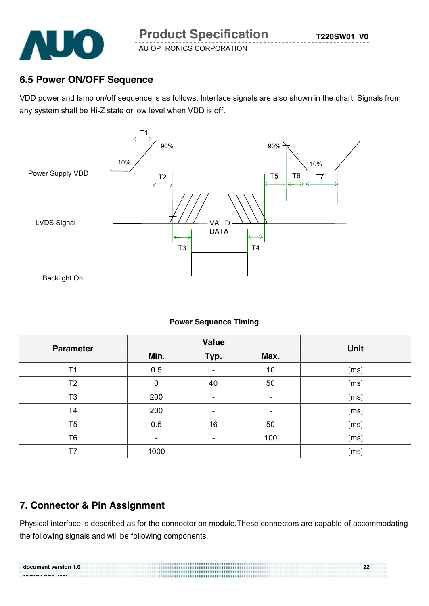

### **6.5 Power ON/OFF Sequence**

VDD power and lamp on/off sequence is as follows. Interface signals are also shown in the chart. Signals from any system shall be Hi-Z state or low level when VDD is off.



#### **Power Sequence Timing**

| <b>Parameter</b> |      | <b>Value</b> | <b>Unit</b> |      |  |  |
|------------------|------|--------------|-------------|------|--|--|
|                  | Min. | Typ.         | Max.        |      |  |  |
| T1               | 0.5  | -            | 10          | [ms] |  |  |
| T <sub>2</sub>   | 0    | 40           | 50          | [ms] |  |  |
| T <sub>3</sub>   | 200  | -            | -           | [ms] |  |  |
| T <sub>4</sub>   | 200  | -            | ۰.          | [ms] |  |  |
| T <sub>5</sub>   | 0.5  | 16           | 50          | [ms] |  |  |
| T <sub>6</sub>   | ۰    | -            | 100         | [ms] |  |  |
| T7               | 1000 |              | ۰           | [ms] |  |  |

# **7. Connector & Pin Assignment**

**NUMPAGES |29}**

Physical interface is described as for the connector on module.These connectors are capable of accommodating the following signals and will be following components.

**document version 1.0 22**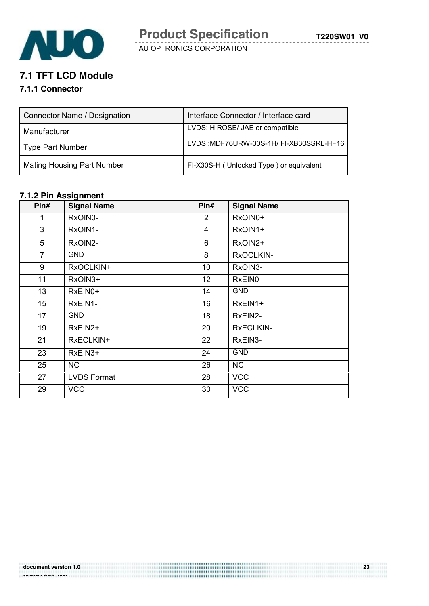

# **7.1 TFT LCD Module**

#### **7.1.1 Connector**

| Connector Name / Designation      | Interface Connector / Interface card    |
|-----------------------------------|-----------------------------------------|
| Manufacturer                      | LVDS: HIROSE/ JAE or compatible         |
| <b>Type Part Number</b>           | LVDS: MDF76URW-30S-1H/FI-XB30SSRL-HF16  |
| <b>Mating Housing Part Number</b> | FI-X30S-H (Unlocked Type) or equivalent |

#### **7.1.2 Pin Assignment**

| Pin#            | <b>Signal Name</b> | Pin#            | <b>Signal Name</b> |
|-----------------|--------------------|-----------------|--------------------|
| 1               | RxOIN0-            | 2               | RxOIN0+            |
| 3               | RxOIN1-            | $\overline{4}$  | RxOIN1+            |
| 5               | RxOIN2-            | 6               | RxOIN2+            |
| $\overline{7}$  | <b>GND</b>         | 8               | RxOCLKIN-          |
| 9               | RxOCLKIN+          | 10              | RxOIN3-            |
| 11              | RxOIN3+            | 12 <sub>2</sub> | RxEIN0-            |
| 13              | RxEIN0+            | 14              | <b>GND</b>         |
| 15 <sub>2</sub> | RxEIN1-            | 16              | RxEIN1+            |
| 17              | <b>GND</b>         | 18              | RxEIN2-            |
| 19              | RxEIN2+            | 20              | <b>RXECLKIN-</b>   |
| 21              | RxECLKIN+          | 22              | RxEIN3-            |
| 23              | RxEIN3+            | 24              | <b>GND</b>         |
| 25              | <b>NC</b>          | 26              | <b>NC</b>          |
| 27              | <b>LVDS Format</b> | 28              | <b>VCC</b>         |
| 29              | <b>VCC</b>         | 30              | <b>VCC</b>         |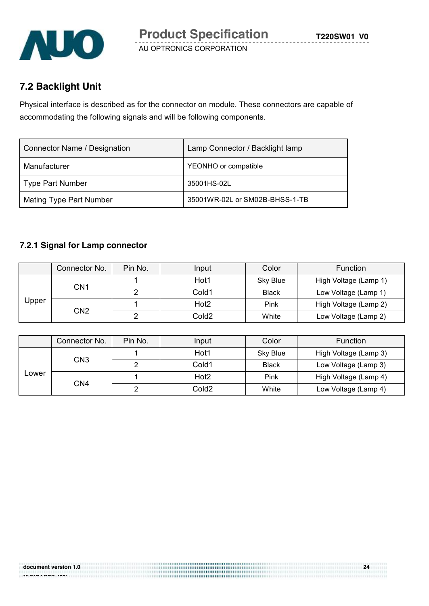

### **7.2 Backlight Unit**

Physical interface is described as for the connector on module. These connectors are capable of accommodating the following signals and will be following components.

| Connector Name / Designation | Lamp Connector / Backlight lamp |
|------------------------------|---------------------------------|
| Manufacturer                 | YEONHO or compatible            |
| Type Part Number             | 35001HS-02L                     |
| Mating Type Part Number      | 35001WR-02L or SM02B-BHSS-1-TB  |

#### **7.2.1 Signal for Lamp connector**

|       | Connector No.   | Pin No. | Input            | Color        | <b>Function</b>       |
|-------|-----------------|---------|------------------|--------------|-----------------------|
| Upper | CN1             |         | Hot1             | Sky Blue     | High Voltage (Lamp 1) |
|       |                 |         | Cold1            | <b>Black</b> | Low Voltage (Lamp 1)  |
|       | CN <sub>2</sub> |         | Hot <sub>2</sub> | Pink         | High Voltage (Lamp 2) |
|       |                 |         | Cold2            | White        | Low Voltage (Lamp 2)  |

|       | Connector No. | Pin No. | Input             | Color        | <b>Function</b>       |
|-------|---------------|---------|-------------------|--------------|-----------------------|
| Lower | CN3           |         | Hot1              | Sky Blue     | High Voltage (Lamp 3) |
|       |               |         | Cold1             | <b>Black</b> | Low Voltage (Lamp 3)  |
|       |               |         | Hot <sub>2</sub>  | Pink         | High Voltage (Lamp 4) |
|       | CN4           |         | Cold <sub>2</sub> | White        | Low Voltage (Lamp 4)  |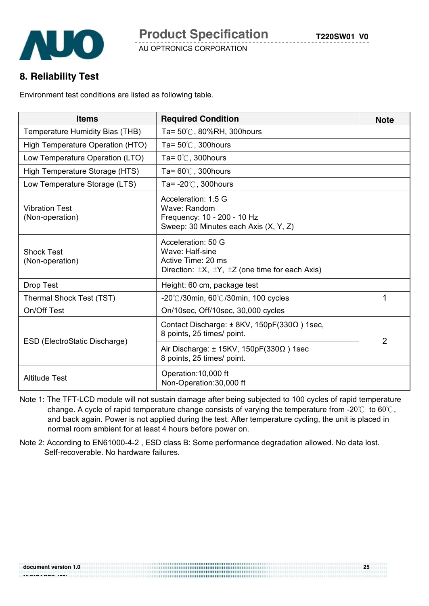

### **8. Reliability Test**

Environment test conditions are listed as following table.

| <b>Items</b>                             | <b>Required Condition</b>                                                                                                      | <b>Note</b>    |
|------------------------------------------|--------------------------------------------------------------------------------------------------------------------------------|----------------|
| Temperature Humidity Bias (THB)          | Ta= $50^{\circ}$ C, 80%RH, 300 hours                                                                                           |                |
| High Temperature Operation (HTO)         | Ta= $50^{\circ}$ C, 300 hours                                                                                                  |                |
| Low Temperature Operation (LTO)          | Ta= $0^{\circ}$ C, 300 hours                                                                                                   |                |
| High Temperature Storage (HTS)           | Ta= $60^{\circ}$ C, 300 hours                                                                                                  |                |
| Low Temperature Storage (LTS)            | Ta= $-20^{\circ}$ C, 300 hours                                                                                                 |                |
| <b>Vibration Test</b><br>(Non-operation) | Acceleration: 1.5 G<br>Wave: Random<br>Frequency: 10 - 200 - 10 Hz<br>Sweep: 30 Minutes each Axis (X, Y, Z)                    |                |
| <b>Shock Test</b><br>(Non-operation)     | Acceleration: 50 G<br>Wave: Half-sine<br>Active Time: 20 ms<br>Direction: $\pm X$ , $\pm Y$ , $\pm Z$ (one time for each Axis) |                |
| Drop Test                                | Height: 60 cm, package test                                                                                                    |                |
| Thermal Shock Test (TST)                 | $-20^{\circ}$ C/30min, 60 $^{\circ}$ C/30min, 100 cycles                                                                       | 1              |
| On/Off Test                              | On/10sec, Off/10sec, 30,000 cycles                                                                                             |                |
|                                          | Contact Discharge: $\pm$ 8KV, 150pF(330 $\Omega$ ) 1sec,<br>8 points, 25 times/ point.                                         | $\overline{2}$ |
| ESD (ElectroStatic Discharge)            | Air Discharge: $\pm$ 15KV, 150pF(330 $\Omega$ ) 1sec<br>8 points, 25 times/ point.                                             |                |
| <b>Altitude Test</b>                     | Operation: 10,000 ft<br>Non-Operation: 30,000 ft                                                                               |                |

- Note 1: The TFT-LCD module will not sustain damage after being subjected to 100 cycles of rapid temperature change. A cycle of rapid temperature change consists of varying the temperature from -20℃ to 60°C, and back again. Power is not applied during the test. After temperature cycling, the unit is placed in normal room ambient for at least 4 hours before power on.
- Note 2: According to EN61000-4-2 , ESD class B: Some performance degradation allowed. No data lost. Self-recoverable. No hardware failures.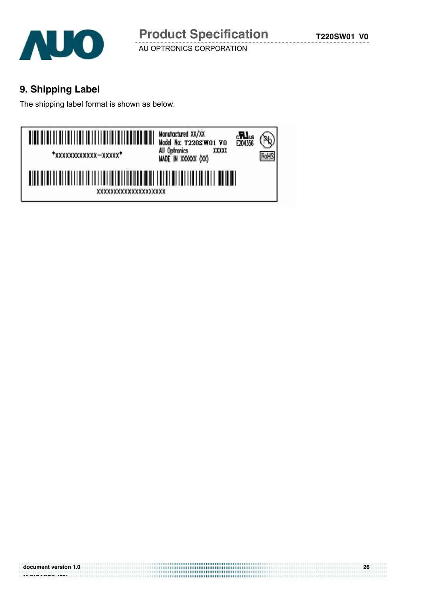

**document version 1.0** 26<br> **and 26** *and 26* **<b>***and 27 and 28 and 28 and 28 and 28 and 28 and 28***</del> <b>***and 28 and 29 and 29* 

### **9. Shipping Label**

**NUMPAGES |29}**

The shipping label format is shown as below.

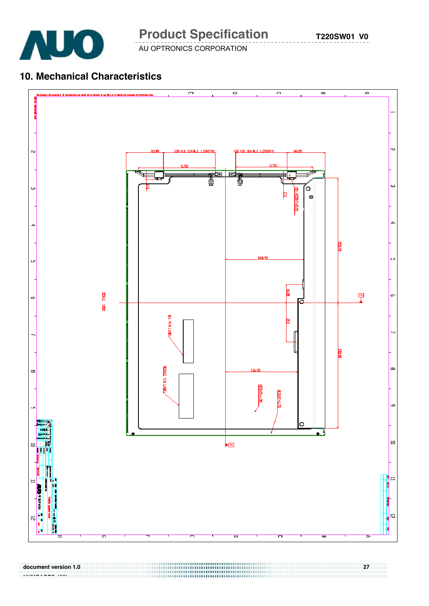

**NUMPAGES |29}**

AU OPTRONICS CORPORATION

# **10. Mechanical Characteristics**



**document version 1.0 27**